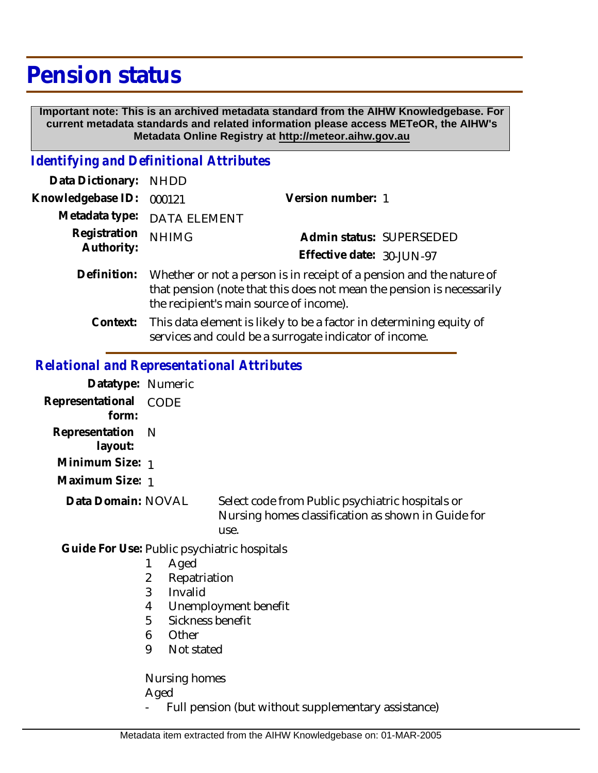# **Pension status**

 **Important note: This is an archived metadata standard from the AIHW Knowledgebase. For current metadata standards and related information please access METeOR, the AIHW's Metadata Online Registry at http://meteor.aihw.gov.au**

### *Identifying and Definitional Attributes*

| Data Dictionary: NHDD      |                                                                                                                                                           |                           |                          |
|----------------------------|-----------------------------------------------------------------------------------------------------------------------------------------------------------|---------------------------|--------------------------|
| Knowledgebase ID: 000121   |                                                                                                                                                           | Version number: 1         |                          |
|                            | Metadata type: DATA ELEMENT                                                                                                                               |                           |                          |
| Registration<br>Authority: | <b>NHIMG</b>                                                                                                                                              |                           | Admin status: SUPERSEDED |
|                            |                                                                                                                                                           | Effective date: 30-JUN-97 |                          |
|                            | Definition: Whether or not a person is in receipt of a pension and the nature of<br>that pension (note that this does not mean the pension is necessarily |                           |                          |

the recipient's main source of income).

This data element is likely to be a factor in determining equity of services and could be a surrogate indicator of income. **Context:**

#### *Relational and Representational Attributes*

| Datatype: Numeric                           |                                                                                                                                        |                                                                                                                |
|---------------------------------------------|----------------------------------------------------------------------------------------------------------------------------------------|----------------------------------------------------------------------------------------------------------------|
| Representational<br>form:                   | CODE                                                                                                                                   |                                                                                                                |
| Representation<br>layout:                   | N                                                                                                                                      |                                                                                                                |
| Minimum Size: 1                             |                                                                                                                                        |                                                                                                                |
| Maximum Size: 1                             |                                                                                                                                        |                                                                                                                |
| Data Domain: NOVAL                          |                                                                                                                                        | Select code from Public psychiatric hospitals or<br>Nursing homes classification as shown in Guide for<br>use. |
| Guide For Use: Public psychiatric hospitals | Aged<br>1<br>2<br>Repatriation<br>3<br>Invalid<br>4<br>5<br>Sickness benefit<br>Other<br>6<br>9<br>Not stated<br>Nursing homes<br>Aged | Unemployment benefit                                                                                           |
|                                             |                                                                                                                                        | Full pension (but without supplementary assistance)                                                            |